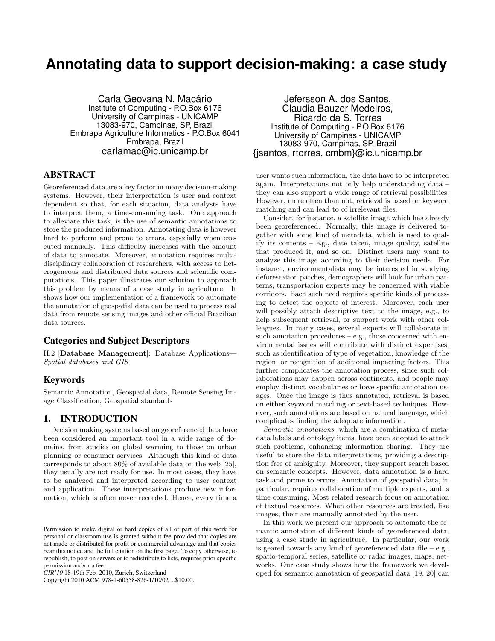# **Annotating data to support decision-making: a case study**

Carla Geovana N. Macário Institute of Computing - P.O.Box 6176 University of Campinas - UNICAMP 13083-970, Campinas, SP, Brazil Embrapa Agriculture Informatics - P.O.Box 6041 Embrapa, Brazil carlamac@ic.unicamp.br

# ABSTRACT

Georeferenced data are a key factor in many decision-making systems. However, their interpretation is user and context dependent so that, for each situation, data analysts have to interpret them, a time-consuming task. One approach to alleviate this task, is the use of semantic annotations to store the produced information. Annotating data is however hard to perform and prone to errors, especially when executed manually. This difficulty increases with the amount of data to annotate. Moreover, annotation requires multidisciplinary collaboration of researchers, with access to heterogeneous and distributed data sources and scientific computations. This paper illustrates our solution to approach this problem by means of a case study in agriculture. It shows how our implementation of a framework to automate the annotation of geospatial data can be used to process real data from remote sensing images and other official Brazilian data sources.

# Categories and Subject Descriptors

H.2 [Database Management]: Database Applications— Spatial databases and GIS

### Keywords

Semantic Annotation, Geospatial data, Remote Sensing Image Classification, Geospatial standards

# 1. INTRODUCTION

Decision making systems based on georeferenced data have been considered an important tool in a wide range of domains, from studies on global warming to those on urban planning or consumer services. Although this kind of data corresponds to about 80% of available data on the web [25], they usually are not ready for use. In most cases, they have to be analyzed and interpreted according to user context and application. These interpretations produce new information, which is often never recorded. Hence, every time a

Copyright 2010 ACM 978-1-60558-826-1/10/02 ...\$10.00.

Jefersson A. dos Santos, Claudia Bauzer Medeiros, Ricardo da S. Torres Institute of Computing - P.O.Box 6176 University of Campinas - UNICAMP 13083-970, Campinas, SP, Brazil {jsantos, rtorres, cmbm}@ic.unicamp.br

user wants such information, the data have to be interpreted again. Interpretations not only help understanding data – they can also support a wide range of retrieval possibilities. However, more often than not, retrieval is based on keyword matching and can lead to of irrelevant files.

Consider, for instance, a satellite image which has already been georeferenced. Normally, this image is delivered together with some kind of metadata, which is used to qualify its contents  $-$  e.g., date taken, image quality, satellite that produced it, and so on. Distinct users may want to analyze this image according to their decision needs. For instance, environmentalists may be interested in studying deforestation patches, demographers will look for urban patterns, transportation experts may be concerned with viable corridors. Each such need requires specific kinds of processing to detect the objects of interest. Moreover, each user will possibly attach descriptive text to the image, e.g., to help subsequent retrieval, or support work with other colleagues. In many cases, several experts will collaborate in such annotation procedures  $-$  e.g., those concerned with environmental issues will contribute with distinct expertises, such as identification of type of vegetation, knowledge of the region, or recognition of additional impacting factors. This further complicates the annotation process, since such collaborations may happen across continents, and people may employ distinct vocabularies or have specific annotation usages. Once the image is thus annotated, retrieval is based on either keyword matching or text-based techniques. However, such annotations are based on natural language, which complicates finding the adequate information.

Semantic annotations, which are a combination of metadata labels and ontology items, have been adopted to attack such problems, enhancing information sharing. They are useful to store the data interpretations, providing a description free of ambiguity. Moreover, they support search based on semantic concepts. However, data annotation is a hard task and prone to errors. Annotation of geospatial data, in particular, requires collaboration of multiple experts, and is time consuming. Most related research focus on annotation of textual resources. When other resources are treated, like images, their are manually annotated by the user.

In this work we present our approach to automate the semantic annotation of different kinds of georeferenced data, using a case study in agriculture. In particular, our work is geared towards any kind of georeferenced data file – e.g., spatio-temporal series, satellite or radar images, maps, networks. Our case study shows how the framework we developed for semantic annotation of geospatial data [19, 20] can

Permission to make digital or hard copies of all or part of this work for personal or classroom use is granted without fee provided that copies are not made or distributed for profit or commercial advantage and that copies bear this notice and the full citation on the first page. To copy otherwise, to republish, to post on servers or to redistribute to lists, requires prior specific permission and/or a fee.

*GIR'10* 18-19th Feb. 2010, Zurich, Switzerland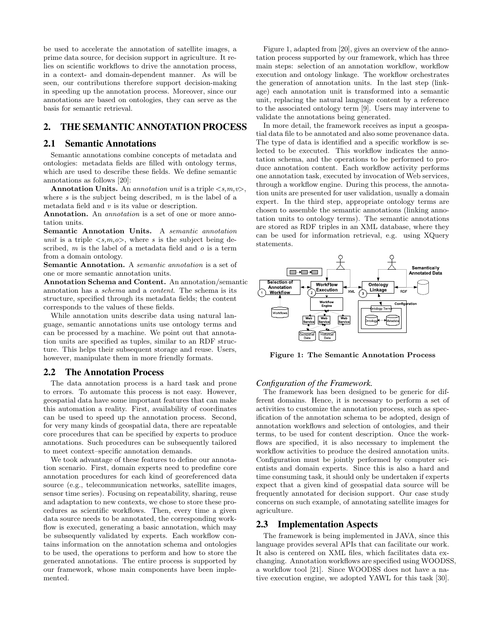be used to accelerate the annotation of satellite images, a prime data source, for decision support in agriculture. It relies on scientific workflows to drive the annotation process, in a context- and domain-dependent manner. As will be seen, our contributions therefore support decision-making in speeding up the annotation process. Moreover, since our annotations are based on ontologies, they can serve as the basis for semantic retrieval.

# 2. THE SEMANTIC ANNOTATION PROCESS

#### 2.1 Semantic Annotations

Semantic annotations combine concepts of metadata and ontologies: metadata fields are filled with ontology terms, which are used to describe these fields. We define semantic annotations as follows [20]:

Annotation Units. An annotation unit is a triple  $\langle s,m,v\rangle$ , where s is the subject being described,  $m$  is the label of a metadata field and v is its value or description.

Annotation. An *annotation* is a set of one or more annotation units.

Semantic Annotation Units. A semantic annotation unit is a triple  $\langle s, m, o \rangle$ , where s is the subject being described,  $m$  is the label of a metadata field and  $o$  is a term from a domain ontology.

Semantic Annotation. A *semantic annotation* is a set of one or more semantic annotation units.

Annotation Schema and Content. An annotation/semantic annotation has a schema and a content. The schema is its structure, specified through its metadata fields; the content corresponds to the values of these fields.

While annotation units describe data using natural language, semantic annotations units use ontology terms and can be processed by a machine. We point out that annotation units are specified as tuples, similar to an RDF structure. This helps their subsequent storage and reuse. Users, however, manipulate them in more friendly formats.

#### 2.2 The Annotation Process

The data annotation process is a hard task and prone to errors. To automate this process is not easy. However, geospatial data have some important features that can make this automation a reality. First, availability of coordinates can be used to speed up the annotation process. Second, for very many kinds of geospatial data, there are repeatable core procedures that can be specified by experts to produce annotations. Such procedures can be subsequently tailored to meet context–specific annotation demands.

We took advantage of these features to define our annotation scenario. First, domain experts need to predefine core annotation procedures for each kind of georeferenced data source (e.g., telecommunication networks, satellite images, sensor time series). Focusing on repeatability, sharing, reuse and adaptation to new contexts, we chose to store these procedures as scientific workflows. Then, every time a given data source needs to be annotated, the corresponding workflow is executed, generating a basic annotation, which may be subsequently validated by experts. Each workflow contains information on the annotation schema and ontologies to be used, the operations to perform and how to store the generated annotations. The entire process is supported by our framework, whose main components have been implemented.

Figure 1, adapted from [20], gives an overview of the annotation process supported by our framework, which has three main steps: selection of an annotation workflow, workflow execution and ontology linkage. The workflow orchestrates the generation of annotation units. In the last step (linkage) each annotation unit is transformed into a semantic unit, replacing the natural language content by a reference to the associated ontology term [9]. Users may intervene to validate the annotations being generated.

In more detail, the framework receives as input a geospatial data file to be annotated and also some provenance data. The type of data is identified and a specific workflow is selected to be executed. This workflow indicates the annotation schema, and the operations to be performed to produce annotation content. Each workflow activity performs one annotation task, executed by invocation of Web services, through a workflow engine. During this process, the annotation units are presented for user validation, usually a domain expert. In the third step, appropriate ontology terms are chosen to assemble the semantic annotations (linking annotation units to ontology terms). The semantic annotations are stored as RDF triples in an XML database, where they can be used for information retrieval, e.g. using XQuery statements.



Figure 1: The Semantic Annotation Process

#### *Configuration of the Framework.*

The framework has been designed to be generic for different domains. Hence, it is necessary to perform a set of activities to customize the annotation process, such as specification of the annotation schema to be adopted, design of annotation workflows and selection of ontologies, and their terms, to be used for content description. Once the workflows are specified, it is also necessary to implement the workflow activities to produce the desired annotation units. Configuration must be jointly performed by computer scientists and domain experts. Since this is also a hard and time consuming task, it should only be undertaken if experts expect that a given kind of geospatial data source will be frequently annotated for decision support. Our case study concerns on such example, of annotating satellite images for agriculture.

#### 2.3 Implementation Aspects

The framework is being implemented in JAVA, since this language provides several APIs that can facilitate our work. It also is centered on XML files, which facilitates data exchanging. Annotation workflows are specified using WOODSS, a workflow tool [21]. Since WOODSS does not have a native execution engine, we adopted YAWL for this task [30].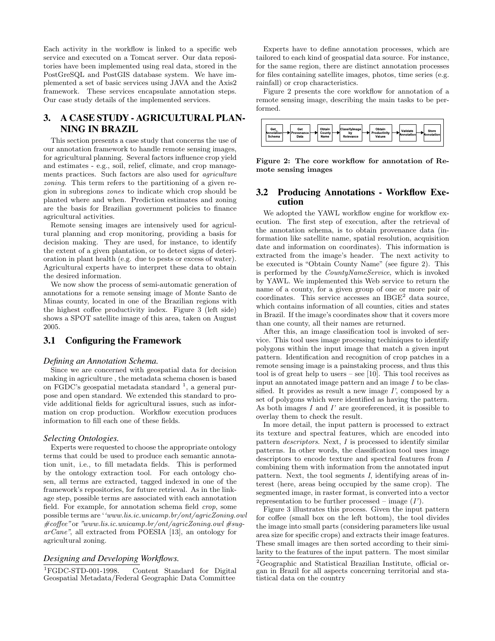Each activity in the workflow is linked to a specific web service and executed on a Tomcat server. Our data repositories have been implemented using real data, stored in the PostGreSQL and PostGIS database system. We have implemented a set of basic services using JAVA and the Axis2 framework. These services encapsulate annotation steps. Our case study details of the implemented services.

# 3. A CASE STUDY - AGRICULTURAL PLAN-NING IN BRAZIL

This section presents a case study that concerns the use of our annotation framework to handle remote sensing images, for agricultural planning. Several factors influence crop yield and estimates - e.g., soil, relief, climate, and crop managements practices. Such factors are also used for agriculture zoning. This term refers to the partitioning of a given region in subregions zones to indicate which crop should be planted where and when. Prediction estimates and zoning are the basis for Brazilian government policies to finance agricultural activities.

Remote sensing images are intensively used for agricultural planning and crop monitoring, providing a basis for decision making. They are used, for instance, to identify the extent of a given plantation, or to detect signs of deterioration in plant health (e.g. due to pests or excess of water). Agricultural experts have to interpret these data to obtain the desired information.

We now show the process of semi-automatic generation of annotations for a remote sensing image of Monte Santo de Minas county, located in one of the Brazilian regions with the highest coffee productivity index. Figure 3 (left side) shows a SPOT satellite image of this area, taken on August 2005.

# 3.1 Configuring the Framework

#### *Defining an Annotation Schema.*

Since we are concerned with geospatial data for decision making in agriculture , the metadata schema chosen is based on FGDC's geospatial metadata standard  $<sup>1</sup>$ , a general pur-</sup> pose and open standard. We extended this standard to provide additional fields for agricultural issues, such as information on crop production. Workflow execution produces information to fill each one of these fields.

#### *Selecting Ontologies.*

Experts were requested to choose the appropriate ontology terms that could be used to produce each semantic annotation unit, i.e., to fill metadata fields. This is performed by the ontology extraction tool. For each ontology chosen, all terms are extracted, tagged indexed in one of the framework's repositories, for future retrieval. As in the linkage step, possible terms are associated with each annotation field. For example, for annotation schema field crop, some possible terms are ''www.lis.ic.unicamp.br/ont/agricZoning.owl  $\# \text{cofree}$ "or "www.lis.ic.unicamp.br/ont/agricZoning.owl  $\# \text{suq-}$ arCane", all extracted from POESIA [13], an ontology for agricultural zoning.

#### *Designing and Developing Workflows.*

<sup>1</sup>FGDC-STD-001-1998. Content Standard for Digital Geospatial Metadata/Federal Geographic Data Committee

Experts have to define annotation processes, which are tailored to each kind of geospatial data source. For instance, for the same region, there are distinct annotation processes for files containing satellite images, photos, time series (e.g. rainfall) or crop characteristics.

Figure 2 presents the core workflow for annotation of a remote sensing image, describing the main tasks to be performed.



Figure 2: The core workflow for annotation of Remote sensing images

### 3.2 Producing Annotations - Workflow Execution

We adopted the YAWL workflow engine for workflow execution. The first step of execution, after the retrieval of the annotation schema, is to obtain provenance data (information like satellite name, spatial resolution, acquisition date and information on coordinates). This information is extracted from the image's header. The next activity to be executed is "Obtain County Name" (see figure 2). This is performed by the CountyNameService, which is invoked by YAWL. We implemented this Web service to return the name of a county, for a given group of one or more pair of coordinates. This service accesses an  $IBGE<sup>2</sup>$  data source, which contains information of all counties, cities and states in Brazil. If the image's coordinates show that it covers more than one county, all their names are returned.

After this, an image classification tool is invoked of service. This tool uses image processing techiniques to identify polygons within the input image that match a given input pattern. Identification and recognition of crop patches in a remote sensing image is a painstaking process, and thus this tool is of great help to users – see [10]. This tool receives as input an annotated image pattern and an image  $I$  to be classified. It provides as result a new image  $I'$ , composed by a set of polygons which were identified as having the pattern. As both images  $I$  and  $I'$  are georeferenced, it is possible to overlay them to check the result.

In more detail, the input pattern is processed to extract its texture and spectral features, which are encoded into pattern descriptors. Next, I is processed to identify similar patterns. In other words, the classification tool uses image descriptors to encode texture and spectral features from I combining them with information from the annotated input pattern. Next, the tool segments I, identifying areas of interest (here, areas being occupied by the same crop). The segmented image, in raster format, is converted into a vector representation to be further processed – image  $(I')$ .

Figure 3 illustrates this process. Given the input pattern for coffee (small box on the left bottom), the tool divides the image into small parts (considering parameters like usual area size for specific crops) and extracts their image features. These small images are then sorted according to their similarity to the features of the input pattern. The most similar

<sup>2</sup>Geographic and Statistical Brazilian Institute, official organ in Brazil for all aspects concerning territorial and statistical data on the country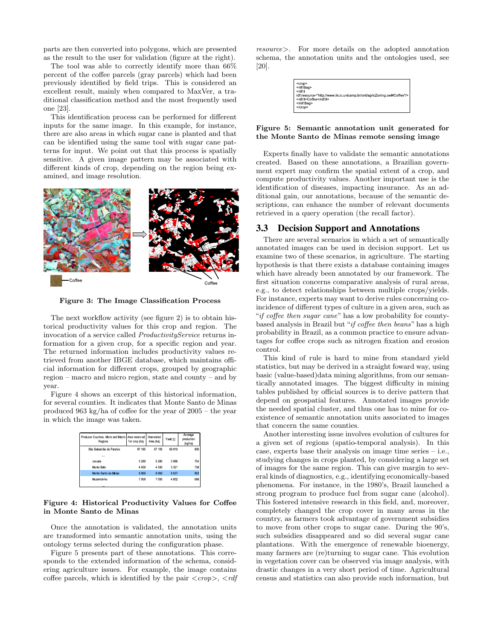parts are then converted into polygons, which are presented as the result to the user for validation (figure at the right).

The tool was able to correctly identify more than 66% percent of the coffee parcels (gray parcels) which had been previously identified by field trips. This is considered an excellent result, mainly when compared to MaxVer, a traditional classification method and the most frequently used one [23].

This identification process can be performed for different inputs for the same image. In this example, for instance, there are also areas in which sugar cane is planted and that can be identified using the same tool with sugar cane patterns for input. We point out that this process is spatially sensitive. A given image pattern may be associated with different kinds of crop, depending on the region being examined, and image resolution.



Figure 3: The Image Classification Process

The next workflow activity (see figure 2) is to obtain historical productivity values for this crop and region. The invocation of a service called ProductivityService returns information for a given crop, for a specific region and year. The returned information includes productivity values retrieved from another IBGE database, which maintains official information for different crops, grouped by geographic region – macro and micro region, state and county – and by year.

Figure 4 shows an excerpt of this historical information, for several counties. It indicates that Monte Santo de Minas produced 963 kg/ha of coffee for the year of 2005 – the year in which the image was taken.

| Producer Counties, Micro and Macro Area reserved<br><b>Regions</b> | for crop (ha) | Harvested<br>Area (ha) | Yield (t) | Average<br>production<br>(kg/ha) |
|--------------------------------------------------------------------|---------------|------------------------|-----------|----------------------------------|
| São Sebastião do Paraíso                                           | 87 185        | 87 185                 | 69 810    | 800                              |
|                                                                    |               |                        |           |                                  |
| Juruaia                                                            | 5 2 8 0       | 5 2 8 0                | 3986      | 754                              |
| Monte Belo                                                         | 4500          | 4 5 0 0                | 3 3 2 1   | 738                              |
| Monte Santo de Minas                                               | 8960          | 8 9 6 0                | 8 6 3 7   | 963                              |
| Muzambinho                                                         | 7.000         | 7 000                  | 4 802     | 686                              |

#### Figure 4: Historical Productivity Values for Coffee in Monte Santo de Minas

Once the annotation is validated, the annotation units are transformed into semantic annotation units, using the ontology terms selected during the configuration phase.

Figure 5 presents part of these annotations. This corresponds to the extended information of the schema, considering agriculture issues. For example, the image contains coffee parcels, which is identified by the pair  $\langle \text{crop} \rangle$ ,  $\langle \text{rdf} \rangle$ 

resource>. For more details on the adopted annotation schema, the annotation units and the ontologies used, see [20].

| <crop><br/><rdf:bag><br/><rdf<sup>-li<br/>rdf:resource="http://www.lis.ic.unicamp.br/ont/agricZoning.ow#Coffee"/&gt;  <br/><rdf:li>Coffee</rdf:li><br/></rdf<sup></rdf:bag><br/><math>&lt;</math>/crop&gt;</crop> |
|-------------------------------------------------------------------------------------------------------------------------------------------------------------------------------------------------------------------|
|-------------------------------------------------------------------------------------------------------------------------------------------------------------------------------------------------------------------|

#### Figure 5: Semantic annotation unit generated for the Monte Santo de Minas remote sensing image

Experts finally have to validate the semantic annotations created. Based on these annotations, a Brazilian government expert may confirm the spatial extent of a crop, and compute productivity values. Another important use is the identification of diseases, impacting insurance. As an additional gain, our annotations, because of the semantic descriptions, can enhance the number of relevant documents retrieved in a query operation (the recall factor).

#### 3.3 Decision Support and Annotations

There are several scenarios in which a set of semantically annotated images can be used in decision support. Let us examine two of these scenarios, in agriculture. The starting hypothesis is that there exists a database containing images which have already been annotated by our framework. The first situation concerns comparative analysis of rural areas, e.g., to detect relationships between multiple crops/yields. For instance, experts may want to derive rules concerning coincidence of different types of culture in a given area, such as "if coffee then sugar cane" has a low probability for countybased analysis in Brazil but "if coffee then beans" has a high probability in Brazil, as a common practice to ensure advantages for coffee crops such as nitrogen fixation and erosion control.

This kind of rule is hard to mine from standard yield statistics, but may be derived in a straight foward way, using basic (value-based)data mining algorithms, from our semantically annotated images. The biggest difficulty in mining tables published by official sources is to derive pattern that depend on geospatial features. Annotated images provide the needed spatial cluster, and thus one has to mine for coexistence of semantic annotation units associated to images that concern the same counties.

Another interesting issue involves evolution of cultures for a given set of regions (spatio-temporal analysis). In this case, experts base their analysis on image time series – i.e., studying changes in crops planted, by considering a large set of images for the same region. This can give margin to several kinds of diagnostics, e.g., identifying economically-based phenomena. For instance, in the 1980's, Brazil launched a strong program to produce fuel from sugar cane (alcohol). This fostered intensive research in this field, and, moreover, completely changed the crop cover in many areas in the country, as farmers took advantage of government subsidies to move from other crops to sugar cane. During the 90's, such subsidies disappeared and so did several sugar cane plantations. With the emergence of renewable bioenergy, many farmers are (re)turning to sugar cane. This evolution in vegetation cover can be observed via image analysis, with drastic changes in a very short period of time. Agricultural census and statistics can also provide such information, but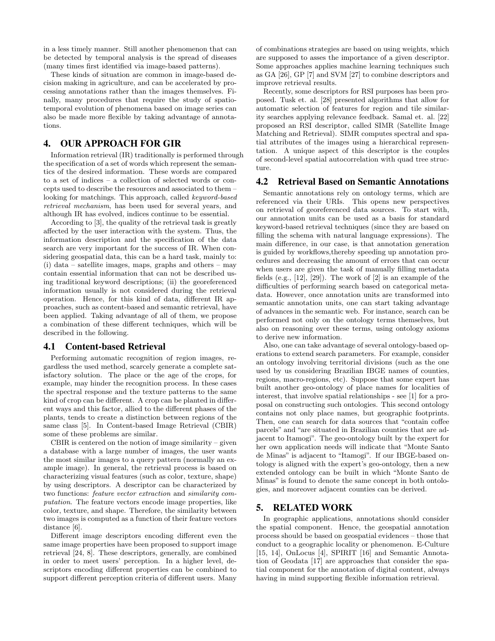in a less timely manner. Still another phenomenon that can be detected by temporal analysis is the spread of diseases (many times first identified via image-based patterns).

These kinds of situation are common in image-based decision making in agriculture, and can be accelerated by processing annotations rather than the images themselves. Finally, many procedures that require the study of spatiotemporal evolution of phenomena based on image series can also be made more flexible by taking advantage of annotations.

# 4. OUR APPROACH FOR GIR

Information retrieval (IR) traditionally is performed through the specification of a set of words which represent the semantics of the desired information. These words are compared to a set of indices – a collection of selected words or concepts used to describe the resources and associated to them – looking for matchings. This approach, called keyword-based retrieval mechanism, has been used for several years, and although IR has evolved, indices continue to be essential.

According to [3], the quality of the retrieval task is greatly affected by the user interaction with the system. Thus, the information description and the specification of the data search are very important for the success of IR. When considering geospatial data, this can be a hard task, mainly to: (i) data – satellite images, maps, graphs and others – may contain essential information that can not be described using traditional keyword descriptions; (ii) the georeferenced information usually is not considered during the retrieval operation. Hence, for this kind of data, different IR approaches, such as content-based and semantic retrieval, have been applied. Taking advantage of all of them, we propose a combination of these different techniques, which will be described in the following.

### 4.1 Content-based Retrieval

Performing automatic recognition of region images, regardless the used method, scarcely generate a complete satisfactory solution. The place or the age of the crops, for example, may hinder the recognition process. In these cases the spectral response and the texture patterns to the same kind of crop can be different. A crop can be planted in different ways and this factor, allied to the different phases of the plants, tends to create a distinction between regions of the same class [5]. In Content-based Image Retrieval (CBIR) some of these problems are similar.

CBIR is centered on the notion of image similarity – given a database with a large number of images, the user wants the most similar images to a query pattern (normally an example image). In general, the retrieval process is based on characterizing visual features (such as color, texture, shape) by using descriptors. A descriptor can be characterized by two functions: feature vector extraction and similarity computation. The feature vectors encode image properties, like color, texture, and shape. Therefore, the similarity between two images is computed as a function of their feature vectors distance [6].

Different image descriptors encoding different even the same image properties have been proposed to support image retrieval [24, 8]. These descriptors, generally, are combined in order to meet users' perception. In a higher level, descriptors encoding different properties can be combined to support different perception criteria of different users. Many of combinations strategies are based on using weights, which are supposed to asses the importance of a given descriptor. Some approaches applies machine learning techniques such as GA [26], GP [7] and SVM [27] to combine descriptors and improve retrieval results.

Recently, some descriptors for RSI purposes has been proposed. Tusk et. al. [28] presented algorithms that allow for automatic selection of features for region and tile similarity searches applying relevance feedback. Samal et. al. [22] proposed an RSI descriptor, called SIMR (Satellite Image Matching and Retrieval). SIMR computes spectral and spatial attributes of the images using a hierarchical representation. A unique aspect of this descriptor is the couples of second-level spatial autocorrelation with quad tree structure.

### 4.2 Retrieval Based on Semantic Annotations

Semantic annotations rely on ontology terms, which are referenced via their URIs. This opens new perspectives on retrieval of georeferenced data sources. To start with, our annotation units can be used as a basis for standard keyword-based retrieval techniques (since they are based on filling the schema with natural language expressions). The main difference, in our case, is that annotation generation is guided by workflows,thereby speeding up annotation procedures and decreasing the amount of errors that can occur when users are given the task of manually filling metadata fields (e.g., [12], [29]). The work of [2] is an example of the difficulties of performing search based on categorical metadata. However, once annotation units are transformed into semantic annotation units, one can start taking advantage of advances in the semantic web. For instance, search can be performed not only on the ontology terms themselves, but also on reasoning over these terms, using ontology axioms to derive new information.

Also, one can take advantage of several ontology-based operations to extend search parameters. For example, consider an ontology involving territorial divisions (such as the one used by us considering Brazilian IBGE names of counties, regions, macro-regions, etc). Suppose that some expert has built another geo-ontology of place names for localities of interest, that involve spatial relationships - see [1] for a proposal on constructing such ontologies. This second ontology contains not only place names, but geographic footprints. Then, one can search for data sources that "contain coffee parcels" and "are situated in Brazilian counties that are adjacent to Itamogi". The geo-ontology built by the expert for her own application needs will indicate that "Monte Santo de Minas" is adjacent to "Itamogi". If our IBGE-based ontology is aligned with the expert's geo-ontology, then a new extended ontology can be built in which "Monte Santo de Minas" is found to denote the same concept in both ontologies, and moreover adjacent counties can be derived.

# 5. RELATED WORK

In geographic applications, annotations should consider the spatial component. Hence, the geospatial annotation process should be based on geospatial evidences – those that conduct to a geographic locality or phenomenon. E-Culture [15, 14], OnLocus [4], SPIRIT [16] and Semantic Annotation of Geodata [17] are approaches that consider the spatial component for the annotation of digital content, always having in mind supporting flexible information retrieval.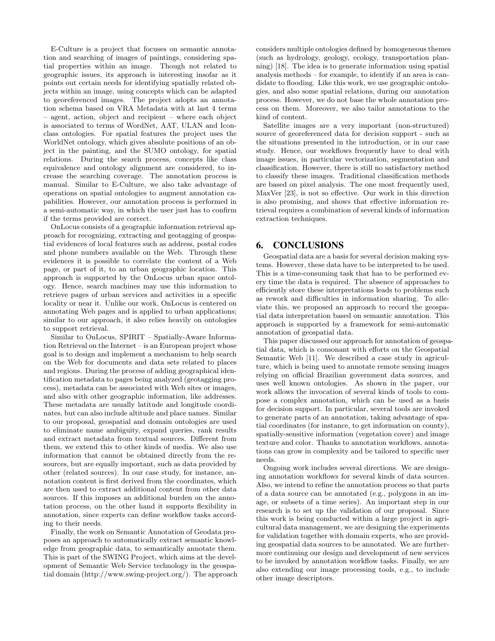E-Culture is a project that focuses on semantic annotation and searching of images of paintings, considering spatial properties within an image. Though not related to geographic issues, its approach is interesting insofar as it points out certain needs for identifying spatially related objects within an image, using concepts which can be adapted to georeferenced images. The project adopts an annotation schema based on VRA Metadata with at last 4 terms – agent, action, object and recipient – where each object is associated to terms of WordNet, AAT, ULAN and Iconclass ontologies. For spatial features the project uses the WorldNet ontology, which gives absolute positions of an object in the painting, and the SUMO ontology, for spatial relations. During the search process, concepts like class equivalence and ontology alignment are considered, to increase the searching coverage. The annotation process is manual. Similar to E-Culture, we also take advantage of operations on spatial ontologies to augment annotation capabilities. However, our annotation process is performed in a semi-automatic way, in which the user just has to confirm if the terms provided are correct.

OnLocus consists of a geographic information retrieval approach for recognizing, extracting and geotagging of geospatial evidences of local features such as address, postal codes and phone numbers available on the Web. Through these evidences it is possible to correlate the content of a Web page, or part of it, to an urban geographic location. This approach is supported by the OnLocus urban space ontology. Hence, search machines may use this information to retrieve pages of urban services and activities in a specific locality or near it. Unlike our work, OnLocus is centered on annotating Web pages and is applied to urban applications; similar to our approach, it also relies heavily on ontologies to support retrieval.

Similar to OnLocus, SPIRIT – Spatially-Aware Information Retrieval on the Internet – is an European project whose goal is to design and implement a mechanism to help search on the Web for documents and data sets related to places and regions. During the process of adding geographical identification metadata to pages being analyzed (geotagging process), metadata can be associated with Web sites or images, and also with other geographic information, like addresses. These metadata are usually latitude and longitude coordinates, but can also include altitude and place names. Similar to our proposal, geospatial and domain ontologies are used to eliminate name ambiguity, expand queries, rank results and extract metadata from textual sources. Different from them, we extend this to other kinds of media. We also use information that cannot be obtained directly from the resources, but are equally important, such as data provided by other (related sources). In our case study, for instance, annotation content is first derived from the coordinates, which are then used to extract additional content from other data sources. If this imposes an additional burden on the annotation process, on the other hand it supports flexibility in annotation, since experts can define workflow tasks according to their needs.

Finally, the work on Semantic Annotation of Geodata proposes an approach to automatically extract semantic knowledge from geographic data, to semantically annotate them. This is part of the SWING Project, which aims at the development of Semantic Web Service technology in the geospatial domain (http://www.swing-project.org/). The approach considers multiple ontologies defined by homogeneous themes (such as hydrology, geology, ecology, transportation planning) [18]. The idea is to generate information using spatial analysis methods – for example, to identify if an area is candidate to flooding. Like this work, we use geographic ontologies, and also some spatial relations, during our annotation process. However, we do not base the whole annotation process on them. Moreover, we also tailor annotations to the kind of content.

Satellite images are a very important (non-structured) source of georeferenced data for decision support - such as the situations presented in the introduction, or in our case study. Hence, our workflows frequently have to deal with image issues, in particular vectorization, segmentation and classification. However, there is still no satisfactory method to classify these images. Traditional classification methods are based on pixel analysis. The one most frequently used, MaxVer [23], is not so effective. Our work in this direction is also promising, and shows that effective information retrieval requires a combination of several kinds of information extraction techniques.

## 6. CONCLUSIONS

Geospatial data are a basis for several decision making systems. However, these data have to be interpreted to be used. This is a time-consuming task that has to be performed every time the data is required. The absence of approaches to efficiently store these interpretations leads to problems such as rework and difficulties in information sharing. To alleviate this, we proposed an approach to record the geospatial data interpretation based on semantic annotation. This approach is supported by a framework for semi-automatic annotation of geospatial data.

This paper discussed our approach for annotation of geospatial data, which is consonant with efforts on the Geospatial Semantic Web [11]. We described a case study in agriculture, which is being used to annotate remote sensing images relying on official Brazilian government data sources, and uses well known ontologies. As shown in the paper, our work allows the invocation of several kinds of tools to compose a complex annotation, which can be used as a basis for decision support. In particular, several tools are invoked to generate parts of an annotation, taking advantage of spatial coordinates (for instance, to get information on county), spatially-sensitive information (vegetation cover) and image texture and color. Thanks to annotation workflows, annotations can grow in complexity and be tailored to specific user needs.

Ongoing work includes several directions. We are designing annotation workflows for several kinds of data sources. Also, we intend to refine the annotation process so that parts of a data source can be annotated (e.g., polygons in an image, or subsets of a time series). An important step in our research is to set up the validation of our proposal. Since this work is being conducted within a large project in agricultural data management, we are designing the experiments for validation together with domain experts, who are providing geospatial data sources to be annotated. We are furthermore continuing our design and development of new services to be invoked by annotation workflow tasks. Finally, we are also extending our image processing tools, e.g., to include other image descriptors.